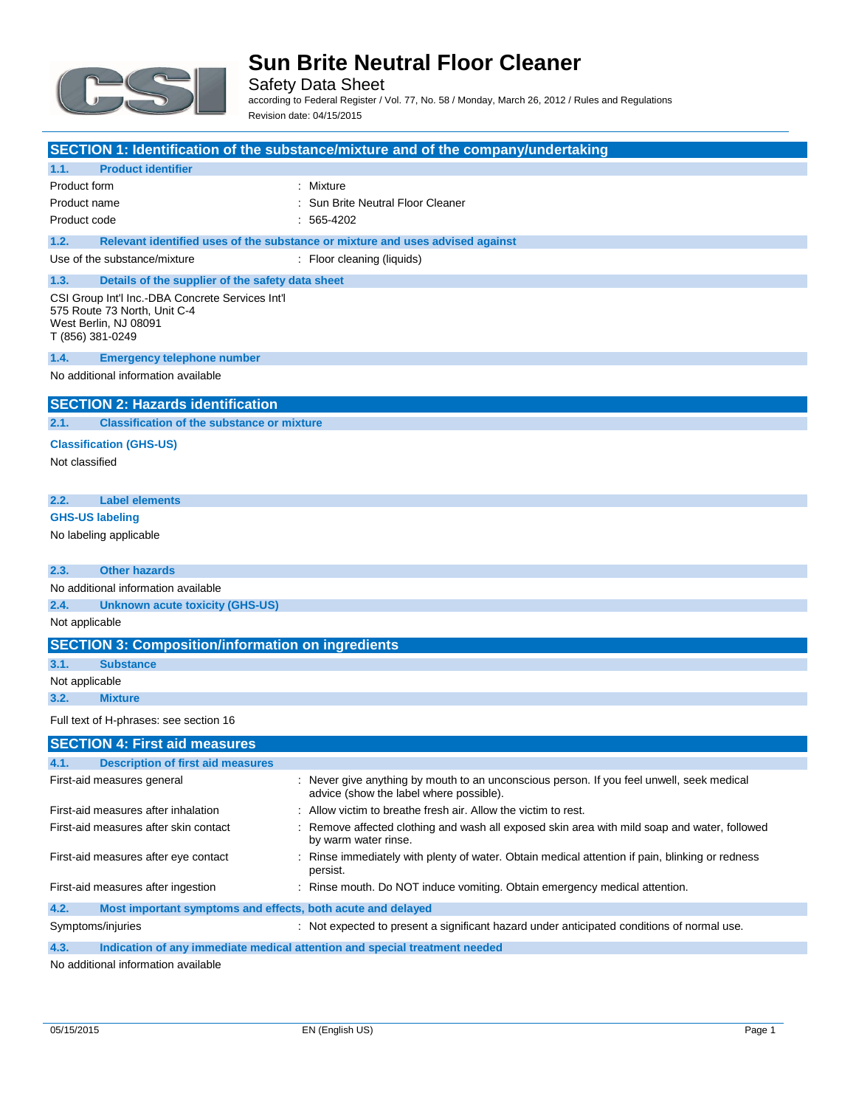

Safety Data Sheet according to Federal Register / Vol. 77, No. 58 / Monday, March 26, 2012 / Rules and Regulations Revision date: 04/15/2015

| SECTION 1: Identification of the substance/mixture and of the company/undertaking                                             |                                                                                                                                      |  |  |
|-------------------------------------------------------------------------------------------------------------------------------|--------------------------------------------------------------------------------------------------------------------------------------|--|--|
| <b>Product identifier</b><br>1.1.                                                                                             |                                                                                                                                      |  |  |
| Product form                                                                                                                  | : Mixture                                                                                                                            |  |  |
| Product name                                                                                                                  | : Sun Brite Neutral Floor Cleaner                                                                                                    |  |  |
| Product code                                                                                                                  | $: 565-4202$                                                                                                                         |  |  |
| 1.2.                                                                                                                          | Relevant identified uses of the substance or mixture and uses advised against                                                        |  |  |
| Use of the substance/mixture                                                                                                  | : Floor cleaning (liquids)                                                                                                           |  |  |
| 1.3.<br>Details of the supplier of the safety data sheet                                                                      |                                                                                                                                      |  |  |
| CSI Group Int'l Inc.-DBA Concrete Services Int'l<br>575 Route 73 North, Unit C-4<br>West Berlin, NJ 08091<br>T (856) 381-0249 |                                                                                                                                      |  |  |
| 1.4.<br><b>Emergency telephone number</b>                                                                                     |                                                                                                                                      |  |  |
| No additional information available                                                                                           |                                                                                                                                      |  |  |
| <b>SECTION 2: Hazards identification</b>                                                                                      |                                                                                                                                      |  |  |
| <b>Classification of the substance or mixture</b><br>2.1.                                                                     |                                                                                                                                      |  |  |
| <b>Classification (GHS-US)</b>                                                                                                |                                                                                                                                      |  |  |
| Not classified                                                                                                                |                                                                                                                                      |  |  |
| 2.2.<br><b>Label elements</b>                                                                                                 |                                                                                                                                      |  |  |
| <b>GHS-US labeling</b>                                                                                                        |                                                                                                                                      |  |  |
| No labeling applicable                                                                                                        |                                                                                                                                      |  |  |
|                                                                                                                               |                                                                                                                                      |  |  |
| <b>Other hazards</b><br>2.3.                                                                                                  |                                                                                                                                      |  |  |
| No additional information available                                                                                           |                                                                                                                                      |  |  |
| 2.4.<br><b>Unknown acute toxicity (GHS-US)</b>                                                                                |                                                                                                                                      |  |  |
| Not applicable                                                                                                                |                                                                                                                                      |  |  |
| <b>SECTION 3: Composition/information on ingredients</b>                                                                      |                                                                                                                                      |  |  |
| 3.1.<br><b>Substance</b>                                                                                                      |                                                                                                                                      |  |  |
| Not applicable                                                                                                                |                                                                                                                                      |  |  |
| 3.2.<br><b>Mixture</b>                                                                                                        |                                                                                                                                      |  |  |
| Full text of H-phrases: see section 16                                                                                        |                                                                                                                                      |  |  |
| <b>SECTION 4: First aid measures</b>                                                                                          |                                                                                                                                      |  |  |
| 4.1.<br><b>Example 1 Description of first aid measures</b>                                                                    |                                                                                                                                      |  |  |
| First-aid measures general                                                                                                    | : Never give anything by mouth to an unconscious person. If you feel unwell, seek medical<br>advice (show the label where possible). |  |  |
| First-aid measures after inhalation                                                                                           | : Allow victim to breathe fresh air. Allow the victim to rest.                                                                       |  |  |
| First-aid measures after skin contact                                                                                         | Remove affected clothing and wash all exposed skin area with mild soap and water, followed<br>by warm water rinse.                   |  |  |
| First-aid measures after eye contact                                                                                          | Rinse immediately with plenty of water. Obtain medical attention if pain, blinking or redness<br>persist.                            |  |  |
| First-aid measures after ingestion                                                                                            | : Rinse mouth. Do NOT induce vomiting. Obtain emergency medical attention.                                                           |  |  |
| 4.2.<br>Most important symptoms and effects, both acute and delayed                                                           |                                                                                                                                      |  |  |
| Symptoms/injuries                                                                                                             | : Not expected to present a significant hazard under anticipated conditions of normal use.                                           |  |  |

**4.3. Indication of any immediate medical attention and special treatment needed**

No additional information available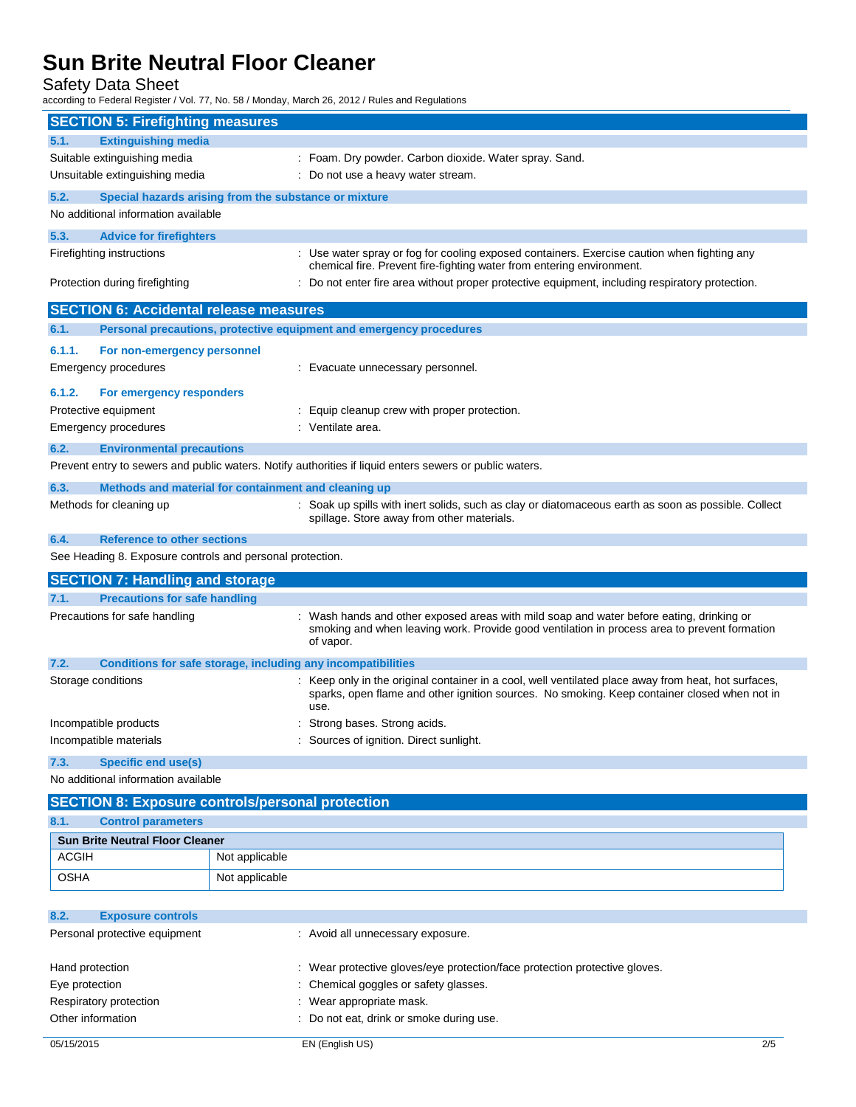Safety Data Sheet

according to Federal Register / Vol. 77, No. 58 / Monday, March 26, 2012 / Rules and Regulations

| <b>SECTION 5: Firefighting measures</b>                              |                                                                                                                                                                                                            |  |  |
|----------------------------------------------------------------------|------------------------------------------------------------------------------------------------------------------------------------------------------------------------------------------------------------|--|--|
| <b>Extinguishing media</b><br>5.1.                                   |                                                                                                                                                                                                            |  |  |
| Suitable extinguishing media                                         | : Foam. Dry powder. Carbon dioxide. Water spray. Sand.                                                                                                                                                     |  |  |
| Unsuitable extinguishing media<br>: Do not use a heavy water stream. |                                                                                                                                                                                                            |  |  |
| 5.2.                                                                 | Special hazards arising from the substance or mixture                                                                                                                                                      |  |  |
| No additional information available                                  |                                                                                                                                                                                                            |  |  |
| 5.3.<br><b>Advice for firefighters</b>                               |                                                                                                                                                                                                            |  |  |
| Firefighting instructions                                            | : Use water spray or fog for cooling exposed containers. Exercise caution when fighting any<br>chemical fire. Prevent fire-fighting water from entering environment.                                       |  |  |
| Protection during firefighting                                       | Do not enter fire area without proper protective equipment, including respiratory protection.                                                                                                              |  |  |
| <b>SECTION 6: Accidental release measures</b>                        |                                                                                                                                                                                                            |  |  |
| 6.1.                                                                 | Personal precautions, protective equipment and emergency procedures                                                                                                                                        |  |  |
| 6.1.1.<br>For non-emergency personnel                                |                                                                                                                                                                                                            |  |  |
| Emergency procedures                                                 | : Evacuate unnecessary personnel.                                                                                                                                                                          |  |  |
| 6.1.2.<br>For emergency responders                                   |                                                                                                                                                                                                            |  |  |
| Protective equipment                                                 | : Equip cleanup crew with proper protection.                                                                                                                                                               |  |  |
| Emergency procedures                                                 | : Ventilate area.                                                                                                                                                                                          |  |  |
| 6.2.<br><b>Environmental precautions</b>                             |                                                                                                                                                                                                            |  |  |
|                                                                      | Prevent entry to sewers and public waters. Notify authorities if liquid enters sewers or public waters.                                                                                                    |  |  |
| 6.3.                                                                 | Methods and material for containment and cleaning up                                                                                                                                                       |  |  |
| Methods for cleaning up                                              | : Soak up spills with inert solids, such as clay or diatomaceous earth as soon as possible. Collect<br>spillage. Store away from other materials.                                                          |  |  |
| 6.4.<br><b>Reference to other sections</b>                           |                                                                                                                                                                                                            |  |  |
| See Heading 8. Exposure controls and personal protection.            |                                                                                                                                                                                                            |  |  |
| <b>SECTION 7: Handling and storage</b>                               |                                                                                                                                                                                                            |  |  |
| <b>Precautions for safe handling</b><br>7.1.                         |                                                                                                                                                                                                            |  |  |
| Precautions for safe handling                                        | Wash hands and other exposed areas with mild soap and water before eating, drinking or<br>smoking and when leaving work. Provide good ventilation in process area to prevent formation<br>of vapor.        |  |  |
| 7.2.                                                                 | Conditions for safe storage, including any incompatibilities                                                                                                                                               |  |  |
| Storage conditions                                                   | Keep only in the original container in a cool, well ventilated place away from heat, hot surfaces,<br>sparks, open flame and other ignition sources. No smoking. Keep container closed when not in<br>use. |  |  |
| Incompatible products                                                | Strong bases. Strong acids.                                                                                                                                                                                |  |  |
| Incompatible materials                                               | : Sources of ignition. Direct sunlight.                                                                                                                                                                    |  |  |
| 7.3.<br><b>Specific end use(s)</b>                                   |                                                                                                                                                                                                            |  |  |
| No additional information available                                  |                                                                                                                                                                                                            |  |  |
| <b>SECTION 8: Exposure controls/personal protection</b>              |                                                                                                                                                                                                            |  |  |
| <b>Control parameters</b><br>8.1.                                    |                                                                                                                                                                                                            |  |  |
| <b>Sun Brite Neutral Floor Cleaner</b>                               |                                                                                                                                                                                                            |  |  |
| <b>ACGIH</b>                                                         | Not applicable                                                                                                                                                                                             |  |  |
| <b>OSHA</b>                                                          | Not applicable                                                                                                                                                                                             |  |  |
| 8.2.<br><b>Exposure controls</b>                                     |                                                                                                                                                                                                            |  |  |
| Personal protective equipment                                        | : Avoid all unnecessary exposure.                                                                                                                                                                          |  |  |
|                                                                      |                                                                                                                                                                                                            |  |  |

| Hand protection        | : Wear protective gloves/eye protection/face protection protective gloves. |
|------------------------|----------------------------------------------------------------------------|
| Eye protection         | : Chemical goggles or safety glasses.                                      |
| Respiratory protection | : Wear appropriate mask.                                                   |
| Other information      | : Do not eat, drink or smoke during use.                                   |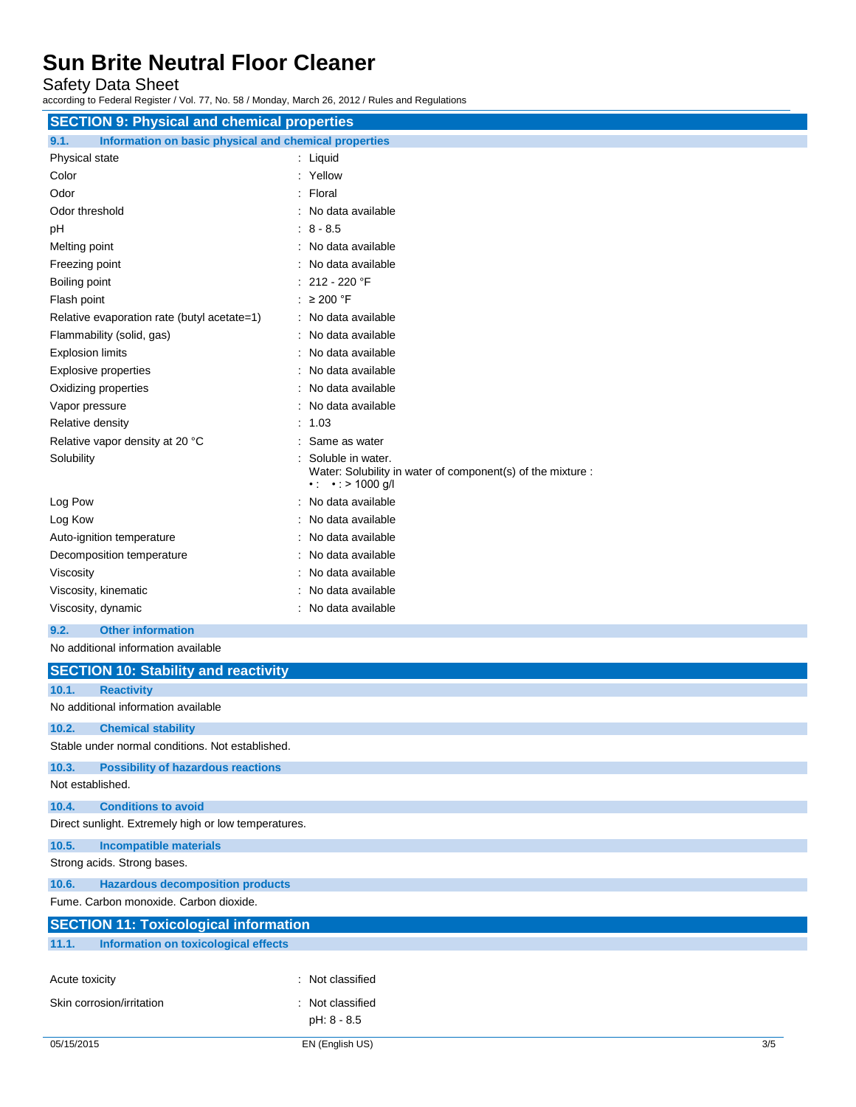Safety Data Sheet

according to Federal Register / Vol. 77, No. 58 / Monday, March 26, 2012 / Rules and Regulations

| <b>SECTION 9: Physical and chemical properties</b>            |                                                                                                                    |  |
|---------------------------------------------------------------|--------------------------------------------------------------------------------------------------------------------|--|
| 9.1.<br>Information on basic physical and chemical properties |                                                                                                                    |  |
| Physical state                                                | : Liquid                                                                                                           |  |
| Color                                                         | : Yellow                                                                                                           |  |
| Odor                                                          | Floral                                                                                                             |  |
| Odor threshold                                                | No data available                                                                                                  |  |
| pH                                                            | 8 - 8.5                                                                                                            |  |
| Melting point                                                 | No data available                                                                                                  |  |
| Freezing point                                                | No data available                                                                                                  |  |
| Boiling point                                                 | 212 - 220 °F                                                                                                       |  |
| Flash point                                                   | : $\geq 200$ °F                                                                                                    |  |
| Relative evaporation rate (butyl acetate=1)                   | : No data available                                                                                                |  |
| Flammability (solid, gas)                                     | No data available                                                                                                  |  |
| <b>Explosion limits</b>                                       | No data available                                                                                                  |  |
| <b>Explosive properties</b>                                   | No data available                                                                                                  |  |
| Oxidizing properties                                          | No data available                                                                                                  |  |
| Vapor pressure                                                | No data available                                                                                                  |  |
| Relative density                                              | 1.03                                                                                                               |  |
| Relative vapor density at 20 °C                               | Same as water                                                                                                      |  |
| Solubility                                                    | Soluble in water.<br>Water: Solubility in water of component(s) of the mixture :<br>$\cdot$ : $\cdot$ : > 1000 g/l |  |
| Log Pow                                                       | : No data available                                                                                                |  |
| Log Kow                                                       | No data available                                                                                                  |  |
| Auto-ignition temperature                                     | No data available                                                                                                  |  |
| Decomposition temperature                                     | No data available                                                                                                  |  |
| Viscosity                                                     | No data available                                                                                                  |  |
| Viscosity, kinematic                                          | No data available                                                                                                  |  |
| Viscosity, dynamic                                            | No data available                                                                                                  |  |
| <b>Other information</b><br>9.2.                              |                                                                                                                    |  |
| No additional information available                           |                                                                                                                    |  |
| <b>SECTION 10: Stability and reactivity</b>                   |                                                                                                                    |  |
| 10.1.<br><b>Reactivity</b>                                    |                                                                                                                    |  |
| No additional information available                           |                                                                                                                    |  |
| 10.2.<br><b>Chemical stability</b>                            |                                                                                                                    |  |
| Stable under normal conditions. Not established.              |                                                                                                                    |  |
| 10.3.<br><b>Possibility of hazardous reactions</b>            |                                                                                                                    |  |
| Not established.                                              |                                                                                                                    |  |
| 10.4.<br><b>Conditions to avoid</b>                           |                                                                                                                    |  |
| Direct sunlight. Extremely high or low temperatures.          |                                                                                                                    |  |
| 10.5.<br><b>Incompatible materials</b>                        |                                                                                                                    |  |
| Strong acids. Strong bases.                                   |                                                                                                                    |  |
| 10.6.<br><b>Hazardous decomposition products</b>              |                                                                                                                    |  |
| Fume. Carbon monoxide. Carbon dioxide.                        |                                                                                                                    |  |
|                                                               |                                                                                                                    |  |

| <b>SECTION 11: Toxicological information</b> |                                      |                |  |  |
|----------------------------------------------|--------------------------------------|----------------|--|--|
| 11.1.                                        | Information on toxicological effects |                |  |  |
|                                              |                                      |                |  |  |
| Acute toxicity                               |                                      | Not classified |  |  |
|                                              | Skin corrosion/irritation            | Not classified |  |  |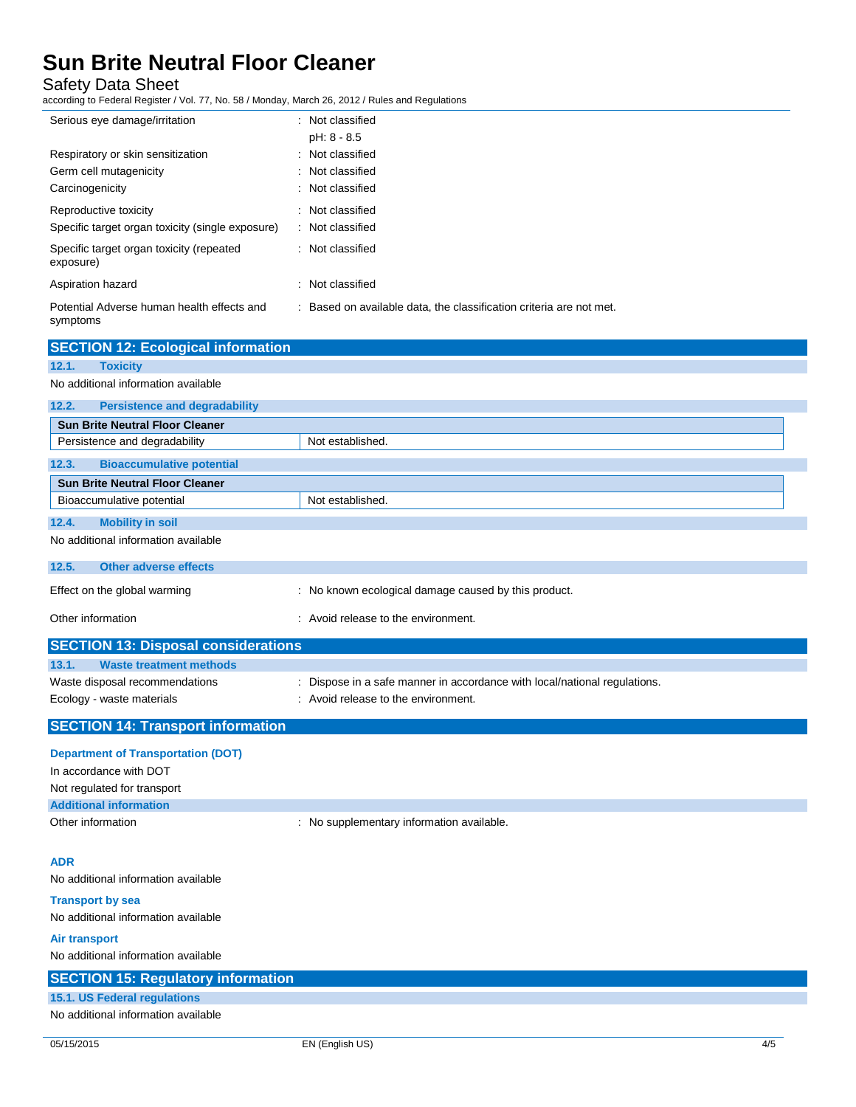Safety Data Sheet

according to Federal Register / Vol. 77, No. 58 / Monday, March 26, 2012 / Rules and Regulations

| Serious eye damage/irritation                                                  | : Not classified<br>pH: 8 - 8.5                                     |
|--------------------------------------------------------------------------------|---------------------------------------------------------------------|
| Respiratory or skin sensitization<br>Germ cell mutagenicity<br>Carcinogenicity | : Not classified<br>: Not classified<br>: Not classified            |
| Reproductive toxicity<br>Specific target organ toxicity (single exposure)      | : Not classified<br>: Not classified                                |
| Specific target organ toxicity (repeated<br>exposure)                          | : Not classified                                                    |
| Aspiration hazard                                                              | : Not classified                                                    |
| Potential Adverse human health effects and<br>symptoms                         | : Based on available data, the classification criteria are not met. |

| <b>SECTION 12: Ecological information</b>     |                                                      |
|-----------------------------------------------|------------------------------------------------------|
| 12.1.<br><b>Toxicity</b>                      |                                                      |
| No additional information available           |                                                      |
| 12.2.<br><b>Persistence and degradability</b> |                                                      |
| <b>Sun Brite Neutral Floor Cleaner</b>        |                                                      |
| Persistence and degradability                 | Not established.                                     |
|                                               |                                                      |
| <b>Bioaccumulative potential</b><br>12.3.     |                                                      |
| <b>Sun Brite Neutral Floor Cleaner</b>        |                                                      |
| Bioaccumulative potential                     | Not established.                                     |
| <b>Mobility in soil</b><br>12.4.              |                                                      |
| No additional information available           |                                                      |
|                                               |                                                      |
| 12.5.<br><b>Other adverse effects</b>         |                                                      |
| Effect on the global warming                  | : No known ecological damage caused by this product. |
| Other information                             | : Avoid release to the environment.                  |
| <b>SECTION 13: Disposal considerations</b>    |                                                      |
| 13.1.<br><b>Waste treatment methods</b>       |                                                      |

| <b>SECTION 14: Transport information</b> |                                                                         |
|------------------------------------------|-------------------------------------------------------------------------|
| Ecology - waste materials                | : Avoid release to the environment.                                     |
| Waste disposal recommendations           | Dispose in a safe manner in accordance with local/national regulations. |
|                                          |                                                                         |

| <b>Department of Transportation (DOT)</b> |  |
|-------------------------------------------|--|
| In accordance with DOT                    |  |

| Not regulated for transport   |                                         |
|-------------------------------|-----------------------------------------|
| <b>Additional information</b> |                                         |
| Other information             | No supplementary information available. |

#### **ADR**

No additional information available

**Transport by sea** No additional information available

| <b>Air transport</b>                      |  |
|-------------------------------------------|--|
| No additional information available       |  |
| <b>SECTION 15: Regulatory information</b> |  |
| 15.1. US Federal regulations              |  |
| No additional information available       |  |